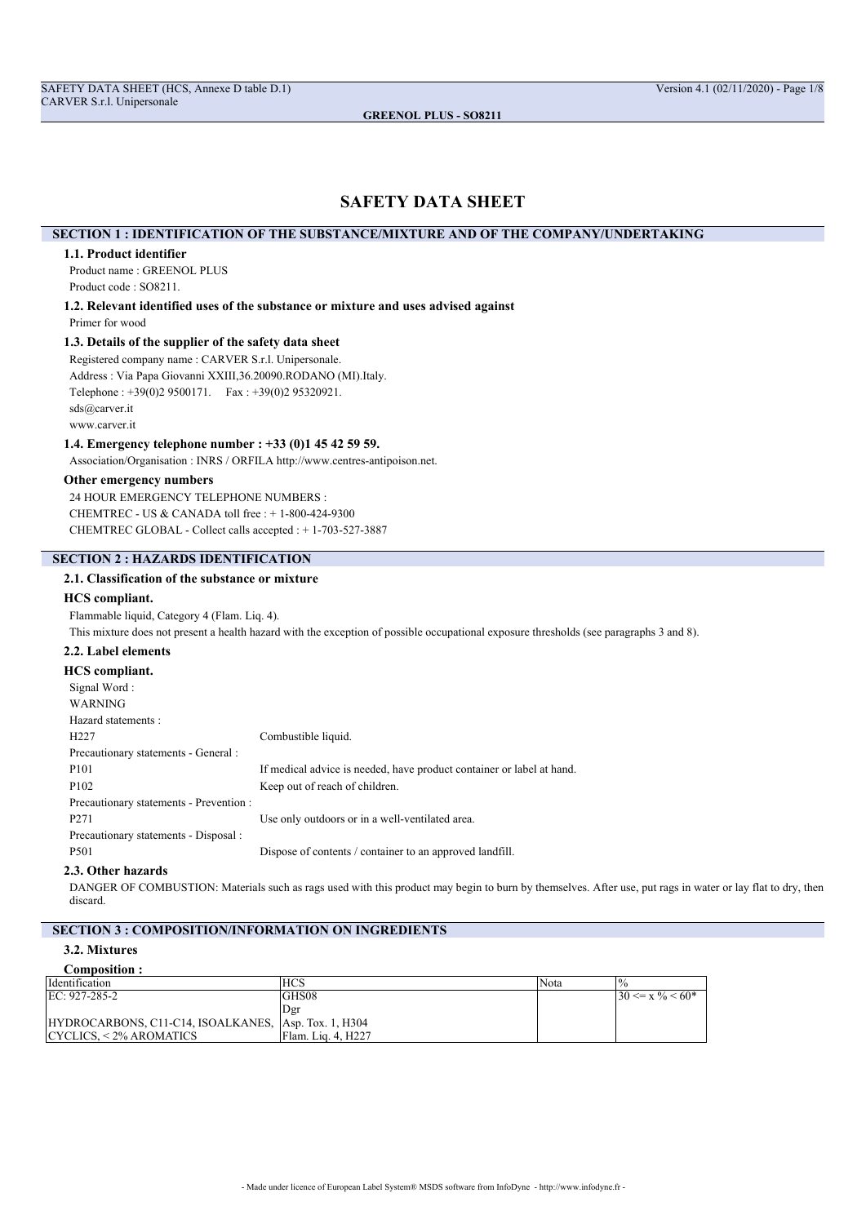## **SAFETY DATA SHEET**

## **SECTION 1 : IDENTIFICATION OF THE SUBSTANCE/MIXTURE AND OF THE COMPANY/UNDERTAKING**

#### **1.1. Product identifier**

Product name : GREENOL PLUS Product code : SO8211.

**1.2. Relevant identified uses of the substance or mixture and uses advised against** Primer for wood

## **1.3. Details of the supplier of the safety data sheet**

Registered company name : CARVER S.r.l. Unipersonale. Address : Via Papa Giovanni XXIII,36.20090.RODANO (MI).Italy. Telephone : +39(0)2 9500171. Fax : +39(0)2 95320921. sds@carver.it

www.carver.it

#### **1.4. Emergency telephone number : +33 (0)1 45 42 59 59.**

Association/Organisation : INRS / ORFILA http://www.centres-antipoison.net.

#### **Other emergency numbers**

24 HOUR EMERGENCY TELEPHONE NUMBERS : CHEMTREC - US & CANADA toll free : + 1-800-424-9300 CHEMTREC GLOBAL - Collect calls accepted : + 1-703-527-3887

## **SECTION 2 : HAZARDS IDENTIFICATION**

## **2.1. Classification of the substance or mixture**

## **HCS compliant.**

Flammable liquid, Category 4 (Flam. Liq. 4). This mixture does not present a health hazard with the exception of possible occupational exposure thresholds (see paragraphs 3 and 8).

## **2.2. Label elements**

## **HCS compliant.**

| Signal Word:                            |                                                                       |
|-----------------------------------------|-----------------------------------------------------------------------|
| <b>WARNING</b>                          |                                                                       |
| Hazard statements:                      |                                                                       |
| H <sub>227</sub>                        | Combustible liquid.                                                   |
| Precautionary statements - General :    |                                                                       |
| P <sub>101</sub>                        | If medical advice is needed, have product container or label at hand. |
| P <sub>102</sub>                        | Keep out of reach of children.                                        |
| Precautionary statements - Prevention : |                                                                       |
| P <sub>271</sub>                        | Use only outdoors or in a well-ventilated area.                       |
| Precautionary statements - Disposal :   |                                                                       |
| P <sub>501</sub>                        | Dispose of contents / container to an approved landfill.              |
|                                         |                                                                       |

## **2.3. Other hazards**

DANGER OF COMBUSTION: Materials such as rags used with this product may begin to burn by themselves. After use, put rags in water or lay flat to dry, then discard.

## **SECTION 3 : COMPOSITION/INFORMATION ON INGREDIENTS**

## **3.2. Mixtures**

#### **Composition :**

| Identification                                       | <b>HCS</b>         | 'Nota |                                  |
|------------------------------------------------------|--------------------|-------|----------------------------------|
| EC: 927-285-2                                        | <b>GHS08</b>       |       | $130 \le x \frac{9}{6} \le 60^*$ |
|                                                      | i Der              |       |                                  |
| HYDROCARBONS, C11-C14, ISOALKANES, Asp. Tox. 1, H304 |                    |       |                                  |
| CYCLICS. < 2% AROMATICS_                             | Flam. Lig. 4. H227 |       |                                  |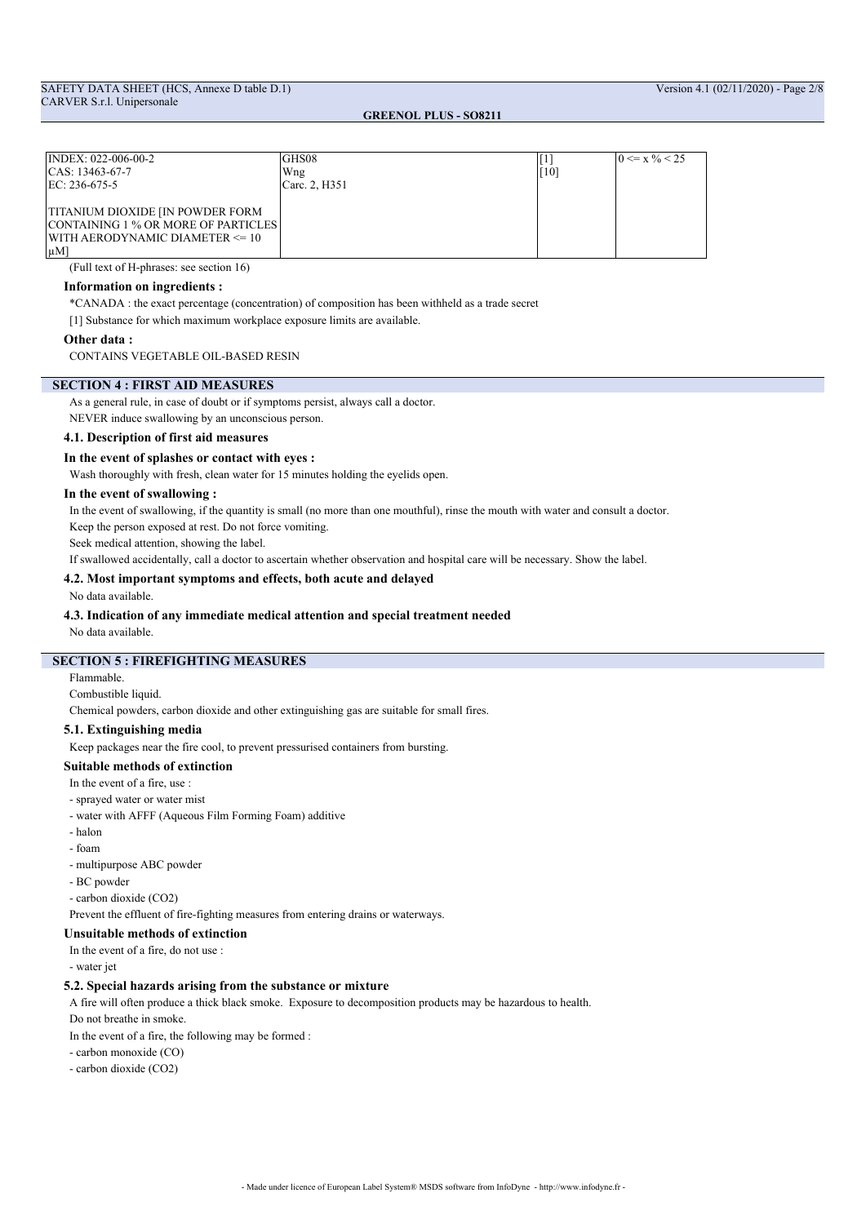| INDEX: 022-006-00-2                 | GHS08         |     | $0 \le x \frac{9}{6} < 25$ |
|-------------------------------------|---------------|-----|----------------------------|
| $ CAS: 13463-67-7$                  | Wng           | 101 |                            |
| $ EC: 236-675-5$                    | Carc. 2, H351 |     |                            |
|                                     |               |     |                            |
| TITANIUM DIOXIDE [IN POWDER FORM]   |               |     |                            |
| CONTAINING 1 % OR MORE OF PARTICLES |               |     |                            |
| WITH AERODYNAMIC DIAMETER <= 10     |               |     |                            |
| $ \mu M $                           |               |     |                            |

(Full text of H-phrases: see section 16)

## **Information on ingredients :**

\*CANADA : the exact percentage (concentration) of composition has been withheld as a trade secret

[1] Substance for which maximum workplace exposure limits are available.

#### **Other data :**

CONTAINS VEGETABLE OIL-BASED RESIN

#### **SECTION 4 : FIRST AID MEASURES**

As a general rule, in case of doubt or if symptoms persist, always call a doctor. NEVER induce swallowing by an unconscious person.

## **4.1. Description of first aid measures**

**In the event of splashes or contact with eyes :**

Wash thoroughly with fresh, clean water for 15 minutes holding the eyelids open.

#### **In the event of swallowing :**

In the event of swallowing, if the quantity is small (no more than one mouthful), rinse the mouth with water and consult a doctor.

Keep the person exposed at rest. Do not force vomiting.

Seek medical attention, showing the label.

If swallowed accidentally, call a doctor to ascertain whether observation and hospital care will be necessary. Show the label.

## **4.2. Most important symptoms and effects, both acute and delayed**

No data available.

## **4.3. Indication of any immediate medical attention and special treatment needed**

No data available.

## **SECTION 5 : FIREFIGHTING MEASURES**

Flammable.

Combustible liquid.

Chemical powders, carbon dioxide and other extinguishing gas are suitable for small fires.

## **5.1. Extinguishing media**

Keep packages near the fire cool, to prevent pressurised containers from bursting.

#### **Suitable methods of extinction**

- In the event of a fire, use :
- sprayed water or water mist
- water with AFFF (Aqueous Film Forming Foam) additive
- halon
- foam
- multipurpose ABC powder
- BC powder
- carbon dioxide (CO2)

Prevent the effluent of fire-fighting measures from entering drains or waterways.

## **Unsuitable methods of extinction**

In the event of a fire, do not use :

- water jet

#### **5.2. Special hazards arising from the substance or mixture**

A fire will often produce a thick black smoke. Exposure to decomposition products may be hazardous to health.

Do not breathe in smoke.

In the event of a fire, the following may be formed :

- carbon monoxide (CO)

- carbon dioxide (CO2)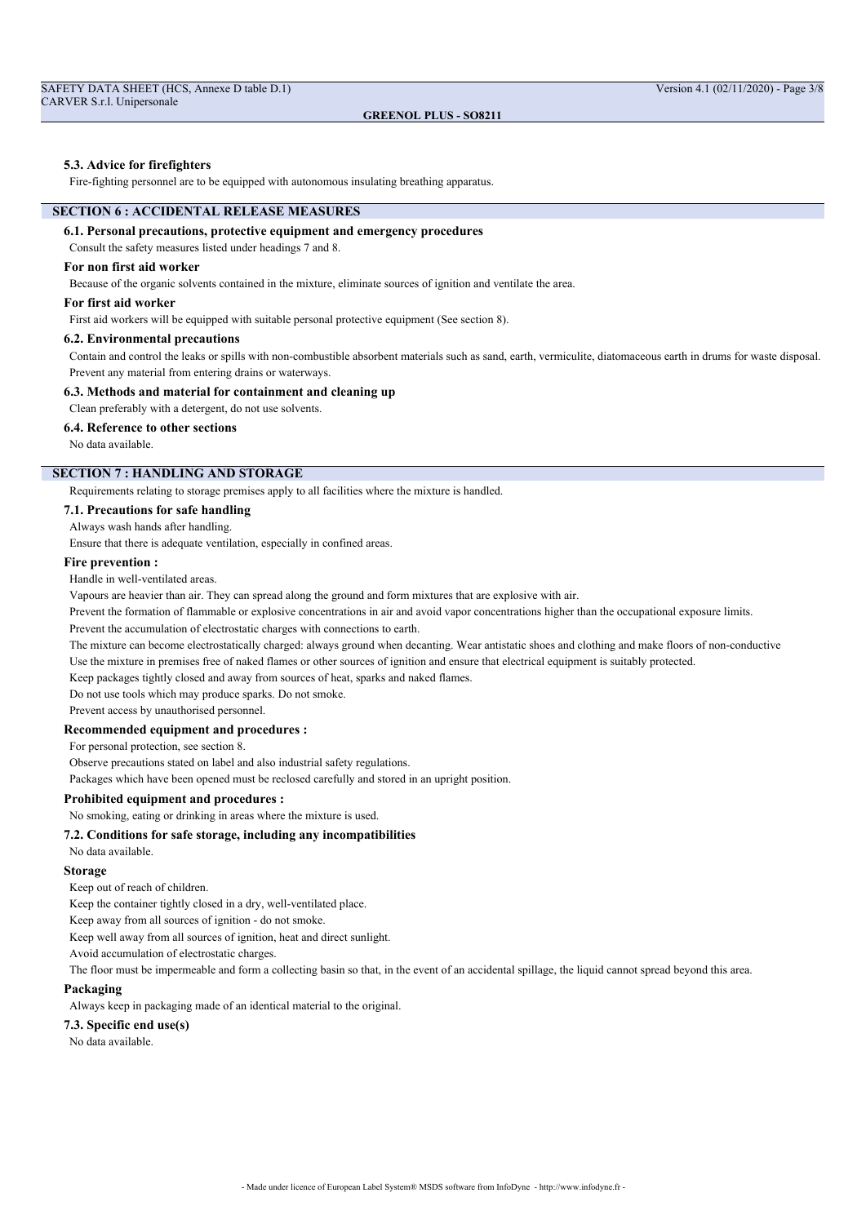Fire-fighting personnel are to be equipped with autonomous insulating breathing apparatus.

## **SECTION 6 : ACCIDENTAL RELEASE MEASURES**

## **6.1. Personal precautions, protective equipment and emergency procedures**

Consult the safety measures listed under headings 7 and 8.

## **For non first aid worker**

Because of the organic solvents contained in the mixture, eliminate sources of ignition and ventilate the area.

#### **For first aid worker**

First aid workers will be equipped with suitable personal protective equipment (See section 8).

## **6.2. Environmental precautions**

Contain and control the leaks or spills with non-combustible absorbent materials such as sand, earth, vermiculite, diatomaceous earth in drums for waste disposal. Prevent any material from entering drains or waterways.

#### **6.3. Methods and material for containment and cleaning up**

Clean preferably with a detergent, do not use solvents.

#### **6.4. Reference to other sections**

No data available.

## **SECTION 7 : HANDLING AND STORAGE**

Requirements relating to storage premises apply to all facilities where the mixture is handled.

#### **7.1. Precautions for safe handling**

#### Always wash hands after handling.

Ensure that there is adequate ventilation, especially in confined areas.

#### **Fire prevention :**

## Handle in well-ventilated areas.

Vapours are heavier than air. They can spread along the ground and form mixtures that are explosive with air.

Prevent the formation of flammable or explosive concentrations in air and avoid vapor concentrations higher than the occupational exposure limits.

Prevent the accumulation of electrostatic charges with connections to earth.

The mixture can become electrostatically charged: always ground when decanting. Wear antistatic shoes and clothing and make floors of non-conductive Use the mixture in premises free of naked flames or other sources of ignition and ensure that electrical equipment is suitably protected.

Keep packages tightly closed and away from sources of heat, sparks and naked flames.

Do not use tools which may produce sparks. Do not smoke.

Prevent access by unauthorised personnel.

#### **Recommended equipment and procedures :**

For personal protection, see section 8.

Observe precautions stated on label and also industrial safety regulations.

Packages which have been opened must be reclosed carefully and stored in an upright position.

#### **Prohibited equipment and procedures :**

No smoking, eating or drinking in areas where the mixture is used.

## **7.2. Conditions for safe storage, including any incompatibilities**

No data available.

#### **Storage**

Keep out of reach of children.

Keep the container tightly closed in a dry, well-ventilated place.

Keep away from all sources of ignition - do not smoke.

Keep well away from all sources of ignition, heat and direct sunlight.

Avoid accumulation of electrostatic charges.

The floor must be impermeable and form a collecting basin so that, in the event of an accidental spillage, the liquid cannot spread beyond this area.

#### **Packaging**

Always keep in packaging made of an identical material to the original.

## **7.3. Specific end use(s)**

No data available.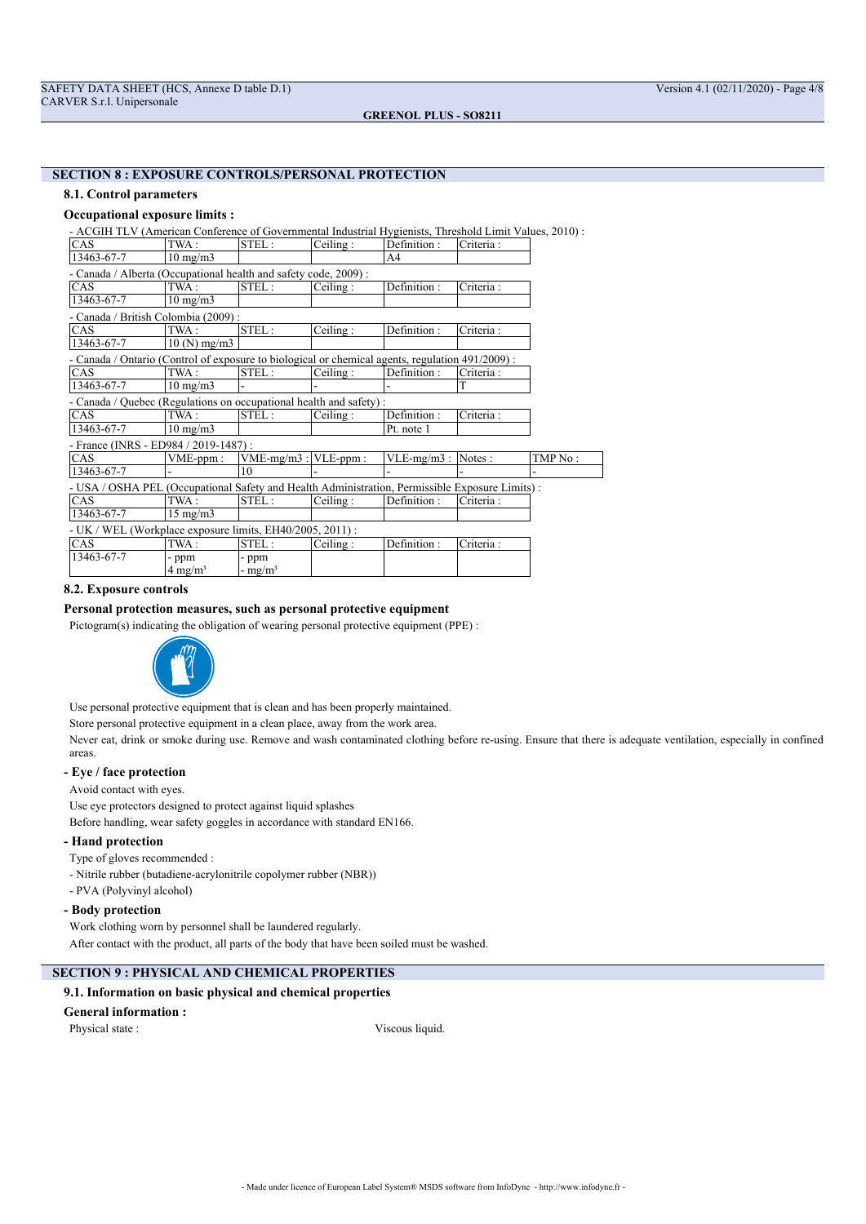#### **SECTION 8 : EXPOSURE CONTROLS/PERSONAL PROTECTION**

#### **8.1. Control parameters**

## **Occupational exposure limits :**

- ACGIH TLV (American Conference of Governmental Industrial Hygienists, Threshold Limit Values, 2010) :

| CAS                                                                                              | TWA:                 | STEL:                     | Ceiling: | Definition:   | Criteria : |          |
|--------------------------------------------------------------------------------------------------|----------------------|---------------------------|----------|---------------|------------|----------|
| 13463-67-7                                                                                       | $10 \text{ mg/m}$    |                           |          | A4            |            |          |
| - Canada / Alberta (Occupational health and safety code, 2009):                                  |                      |                           |          |               |            |          |
| <b>CAS</b>                                                                                       | TWA:                 | STEL:                     | Ceiling: | Definition:   | Criteria:  |          |
| 13463-67-7                                                                                       | $10 \text{ mg/m}$    |                           |          |               |            |          |
| - Canada / British Colombia (2009) :                                                             |                      |                           |          |               |            |          |
| CAS                                                                                              | TWA:                 | STEL:                     | Ceiling: | Definition:   | Criteria:  |          |
| 13463-67-7                                                                                       | $10 \, (N)$ mg/m $3$ |                           |          |               |            |          |
| - Canada / Ontario (Control of exposure to biological or chemical agents, regulation 491/2009) : |                      |                           |          |               |            |          |
| CAS                                                                                              | TWA:                 | STEL:                     | Ceiling: | Definition:   | Criteria:  |          |
| 13463-67-7                                                                                       | $10 \text{ mg/m}$    |                           |          |               | T          |          |
| - Canada / Quebec (Regulations on occupational health and safety):                               |                      |                           |          |               |            |          |
| <b>CAS</b>                                                                                       | TWA:                 | STEL:                     | Ceiling: | Definition:   | Criteria:  |          |
| 13463-67-7                                                                                       | $10 \text{ mg/m}$    |                           |          | Pt. note 1    |            |          |
| - France (INRS - ED984 / 2019-1487) :                                                            |                      |                           |          |               |            |          |
| CAS                                                                                              | $VME$ -ppm:          | $VME-mg/m3$ : $VLE-ppm$ : |          | $VLE-mg/m3$ : | Notes:     | TMP No : |
| 13463-67-7                                                                                       |                      | 10                        |          |               |            |          |
| - USA / OSHA PEL (Occupational Safety and Health Administration, Permissible Exposure Limits) :  |                      |                           |          |               |            |          |
| CAS                                                                                              | TWA:                 | STEL:                     | Ceiling: | Definition:   | Criteria : |          |
| 13463-67-7                                                                                       | $15 \text{ mg/m}$    |                           |          |               |            |          |
| - UK / WEL (Workplace exposure limits, EH40/2005, 2011):                                         |                      |                           |          |               |            |          |
| CAS                                                                                              | TWA :                | STEL:                     | Ceiling: | Definition:   | Criteria:  |          |
| 13463-67-7                                                                                       | - ppm                | - ppm                     |          |               |            |          |
|                                                                                                  | $4 \text{ mg/m}^3$   | - $mg/m^3$                |          |               |            |          |

#### **8.2. Exposure controls**

## **Personal protection measures, such as personal protective equipment**

Pictogram(s) indicating the obligation of wearing personal protective equipment (PPE) :



Use personal protective equipment that is clean and has been properly maintained.

Store personal protective equipment in a clean place, away from the work area.

Never eat, drink or smoke during use. Remove and wash contaminated clothing before re-using. Ensure that there is adequate ventilation, especially in confined areas.

## **- Eye / face protection**

Avoid contact with eyes.

Use eye protectors designed to protect against liquid splashes

Before handling, wear safety goggles in accordance with standard EN166.

## **- Hand protection**

Type of gloves recommended :

- Nitrile rubber (butadiene-acrylonitrile copolymer rubber (NBR))
- PVA (Polyvinyl alcohol)

## **- Body protection**

Work clothing worn by personnel shall be laundered regularly. After contact with the product, all parts of the body that have been soiled must be washed.

## **SECTION 9 : PHYSICAL AND CHEMICAL PROPERTIES**

## **9.1. Information on basic physical and chemical properties**

#### **General information :**

Physical state : Viscous liquid.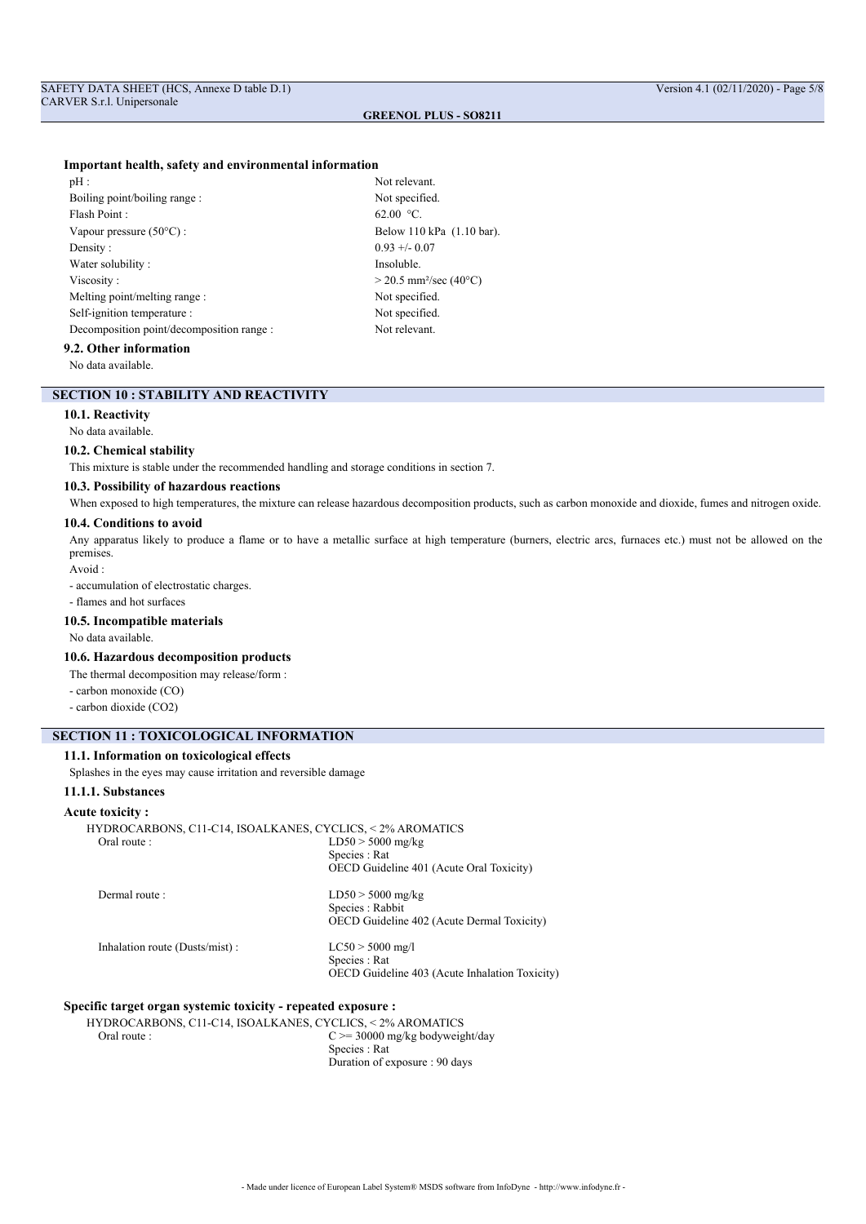#### **Important health, safety and environmental information**

Not relevant. Not specified. 62.00  $^{\circ}$ C. Below 110 kPa (1.10 bar).  $0.93 +/- 0.07$ Insoluble.  $> 20.5$  mm<sup>2</sup>/sec (40°C) Not specified. Not specified. Not relevant.

## **9.2. Other information**

No data available.

## **SECTION 10 : STABILITY AND REACTIVITY**

## **10.1. Reactivity**

#### No data available.

## **10.2. Chemical stability**

This mixture is stable under the recommended handling and storage conditions in section 7.

## **10.3. Possibility of hazardous reactions**

When exposed to high temperatures, the mixture can release hazardous decomposition products, such as carbon monoxide and dioxide, fumes and nitrogen oxide.

## **10.4. Conditions to avoid**

Any apparatus likely to produce a flame or to have a metallic surface at high temperature (burners, electric arcs, furnaces etc.) must not be allowed on the premises.

Avoid :

- accumulation of electrostatic charges.

#### - flames and hot surfaces

**10.5. Incompatible materials**

No data available.

## **10.6. Hazardous decomposition products**

The thermal decomposition may release/form :

- carbon monoxide (CO)
- carbon dioxide (CO2)

## **SECTION 11 : TOXICOLOGICAL INFORMATION**

## **11.1. Information on toxicological effects**

Splashes in the eyes may cause irritation and reversible damage

## **11.1.1. Substances**

#### **Acute toxicity :**

| HYDROCARBONS, C11-C14, ISOALKANES, CYCLICS, <2% AROMATICS |                                                   |
|-----------------------------------------------------------|---------------------------------------------------|
| Oral route :                                              | $LD50 > 5000$ mg/kg                               |
|                                                           | Species : Rat                                     |
|                                                           | OECD Guideline 401 (Acute Oral Toxicity)          |
| Dermal route :                                            | $LD50 > 5000$ mg/kg                               |
|                                                           | Species : Rabbit                                  |
|                                                           | <b>OECD</b> Guideline 402 (Acute Dermal Toxicity) |
| Inhalation route (Dusts/mist):                            | $LC50 > 5000$ mg/l                                |
|                                                           | Species : Rat                                     |
|                                                           | OECD Guideline 403 (Acute Inhalation Toxicity)    |
|                                                           |                                                   |

#### **Specific target organ systemic toxicity - repeated exposure :**

HYDROCARBONS, C11-C14, ISOALKANES, CYCLICS, < 2% AROMATICS<br>C >= 30000 mg/kg bodyweig  $C \ge 30000$  mg/kg bodyweight/day Species : Rat Duration of exposure : 90 days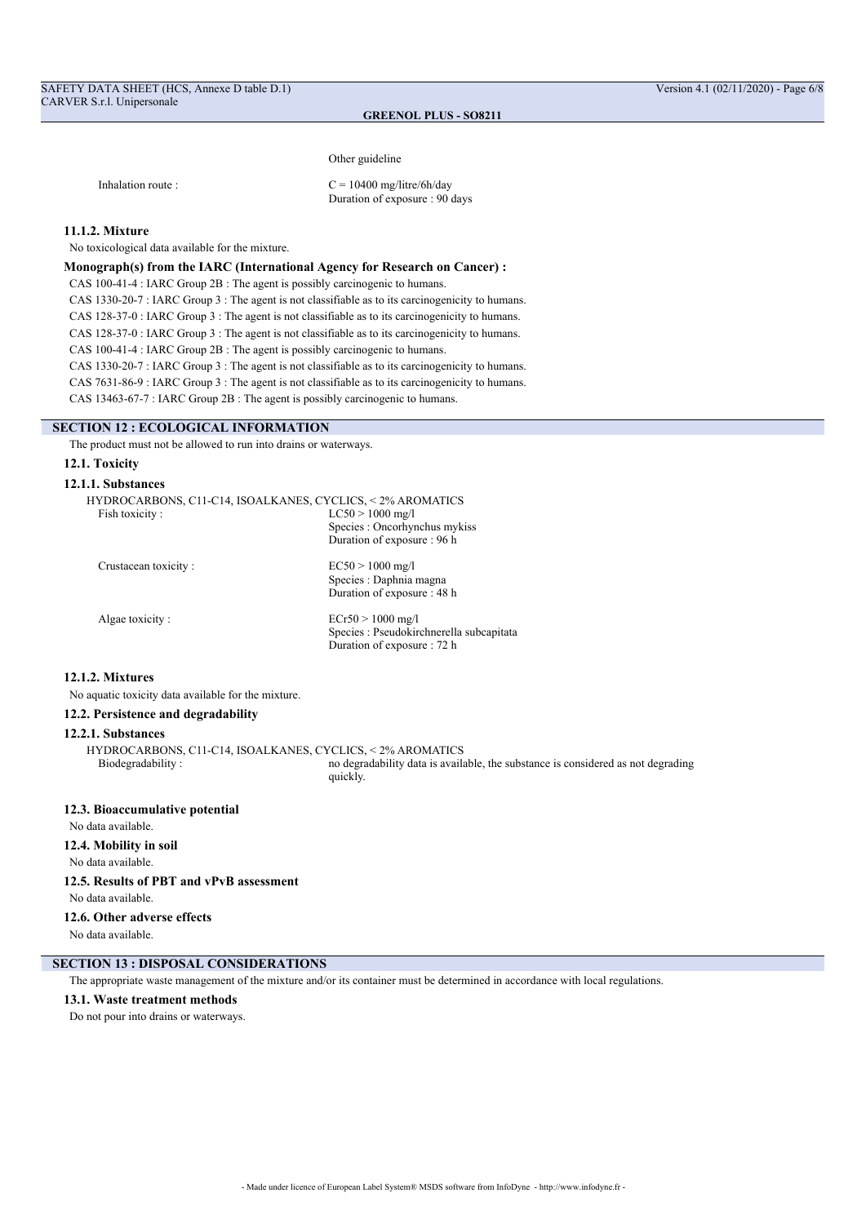Other guideline

Inhalation route :  $C = 10400$  mg/litre/6h/day Duration of exposure : 90 days

## **11.1.2. Mixture**

No toxicological data available for the mixture.

## **Monograph(s) from the IARC (International Agency for Research on Cancer) :**

CAS 100-41-4 : IARC Group 2B : The agent is possibly carcinogenic to humans.

CAS 1330-20-7 : IARC Group 3 : The agent is not classifiable as to its carcinogenicity to humans.

CAS 128-37-0 : IARC Group 3 : The agent is not classifiable as to its carcinogenicity to humans.

CAS 128-37-0 : IARC Group 3 : The agent is not classifiable as to its carcinogenicity to humans.

CAS 100-41-4 : IARC Group 2B : The agent is possibly carcinogenic to humans.

CAS 1330-20-7 : IARC Group 3 : The agent is not classifiable as to its carcinogenicity to humans.

CAS 7631-86-9 : IARC Group 3 : The agent is not classifiable as to its carcinogenicity to humans.

CAS 13463-67-7 : IARC Group 2B : The agent is possibly carcinogenic to humans.

## **SECTION 12 : ECOLOGICAL INFORMATION**

The product must not be allowed to run into drains or waterways.

#### **12.1. Toxicity**

## **12.1.1. Substances**

|                      | HYDROCARBONS, C11-C14, ISOALKANES, CYCLICS, <2% AROMATICS |
|----------------------|-----------------------------------------------------------|
| Fish toxicity:       | $LC50 > 1000$ mg/l                                        |
|                      | Species: Oncorhynchus mykiss                              |
|                      | Duration of exposure : 96 h                               |
| Crustacean toxicity: | $EC50 > 1000$ mg/l                                        |
|                      | Species : Daphnia magna                                   |
|                      | Duration of exposure : 48 h                               |
| Algae toxicity:      | $ECr50 > 1000$ mg/l                                       |
|                      | Species : Pseudokirchnerella subcapitata                  |
|                      | Duration of exposure : 72 h                               |

## **12.1.2. Mixtures**

No aquatic toxicity data available for the mixture.

## **12.2. Persistence and degradability**

#### **12.2.1. Substances**

HYDROCARBONS, C11-C14, ISOALKANES, CYCLICS, < 2% AROMATICS no degradability data is available, the substance is considered as not degrading quickly.

#### **12.3. Bioaccumulative potential**

No data available.

## **12.4. Mobility in soil**

No data available.

## **12.5. Results of PBT and vPvB assessment**

No data available.

## **12.6. Other adverse effects**

No data available.

## **SECTION 13 : DISPOSAL CONSIDERATIONS**

The appropriate waste management of the mixture and/or its container must be determined in accordance with local regulations.

#### **13.1. Waste treatment methods**

Do not pour into drains or waterways.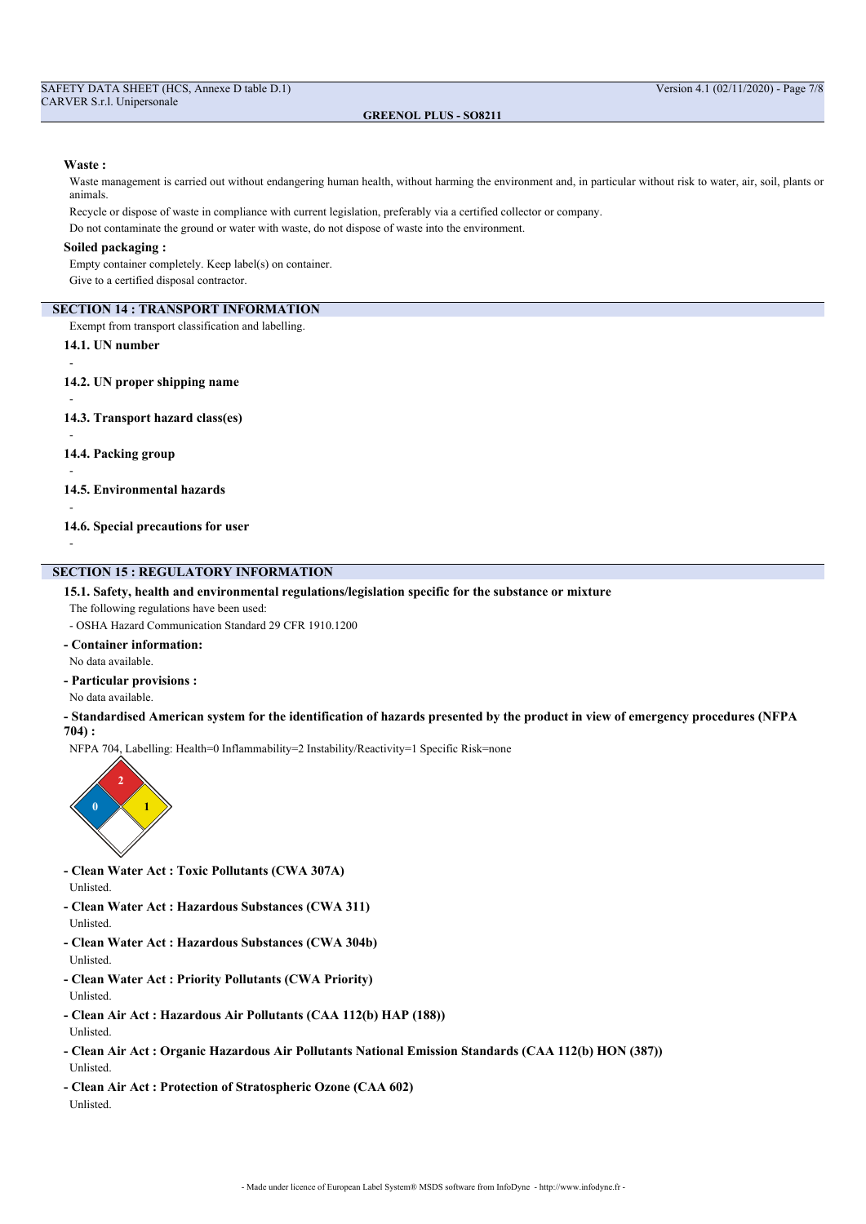#### **Waste :**

Waste management is carried out without endangering human health, without harming the environment and, in particular without risk to water, air, soil, plants or animals.

Recycle or dispose of waste in compliance with current legislation, preferably via a certified collector or company.

Do not contaminate the ground or water with waste, do not dispose of waste into the environment.

## **Soiled packaging :**

Empty container completely. Keep label(s) on container.

Give to a certified disposal contractor.

## **SECTION 14 : TRANSPORT INFORMATION**

Exempt from transport classification and labelling.

- **14.1. UN number**
- -
- **14.2. UN proper shipping name**
- -

-

-

-

-

- **14.3. Transport hazard class(es)**
- **14.4. Packing group**
- **14.5. Environmental hazards**
- **14.6. Special precautions for user**

## **SECTION 15 : REGULATORY INFORMATION**

## **15.1. Safety, health and environmental regulations/legislation specific for the substance or mixture**

- The following regulations have been used:
- OSHA Hazard Communication Standard 29 CFR 1910.1200
- **Container information:**
- No data available.
- **Particular provisions :**
- No data available.
- **Standardised American system for the identification of hazards presented by the product in view of emergency procedures (NFPA 704) :**

NFPA 704, Labelling: Health=0 Inflammability=2 Instability/Reactivity=1 Specific Risk=none



- **Clean Water Act : Toxic Pollutants (CWA 307A)** Unlisted.
- **Clean Water Act : Hazardous Substances (CWA 311)** Unlisted.
- **Clean Water Act : Hazardous Substances (CWA 304b)** Unlisted.
- **Clean Water Act : Priority Pollutants (CWA Priority)** Unlisted.
- **Clean Air Act : Hazardous Air Pollutants (CAA 112(b) HAP (188))**
- Unlisted.
- **Clean Air Act : Organic Hazardous Air Pollutants National Emission Standards (CAA 112(b) HON (387))** Unlisted.
- **Clean Air Act : Protection of Stratospheric Ozone (CAA 602)** Unlisted.